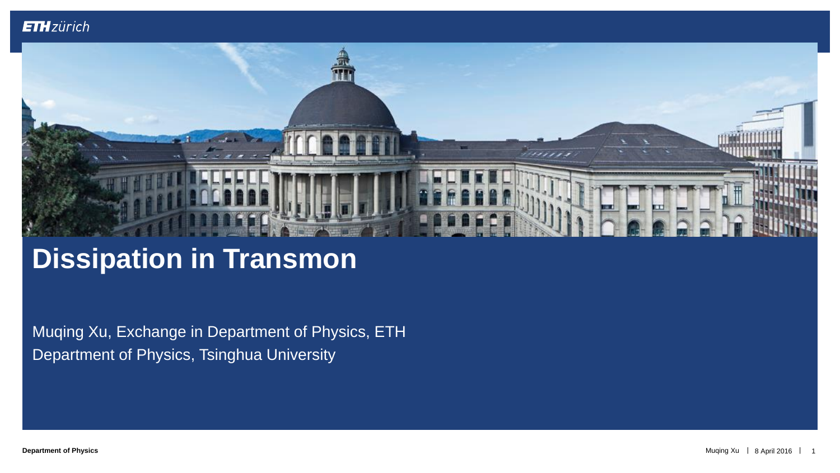

# **Dissipation in Transmon**

Muqing Xu, Exchange in Department of Physics, ETH Department of Physics, Tsinghua University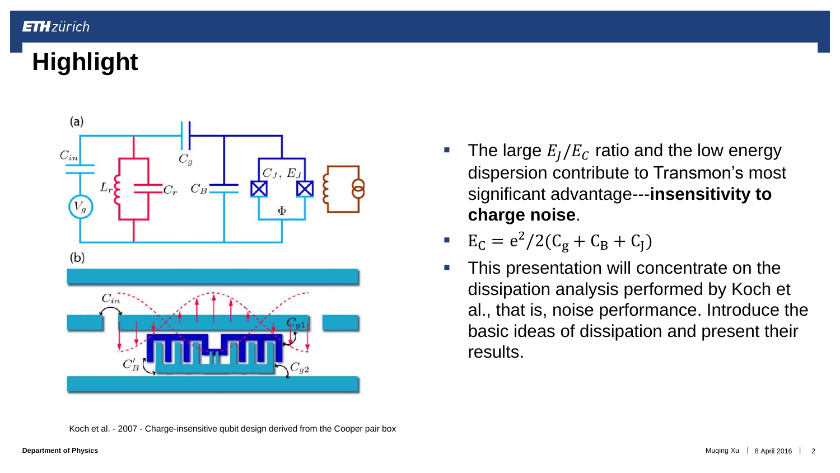# **Highlight**



The large  $E_I/E_C$  ratio and the low energy dispersion contribute to Transmon's most significant advantage---**insensitivity to charge noise**.

$$
E_C = e^2/2(C_g + C_B + C_J)
$$

**This presentation will concentrate on the** dissipation analysis performed by Koch et al., that is, noise performance. Introduce the basic ideas of dissipation and present their results.

Koch et al. - 2007 - Charge-insensitive qubit design derived from the Cooper pair box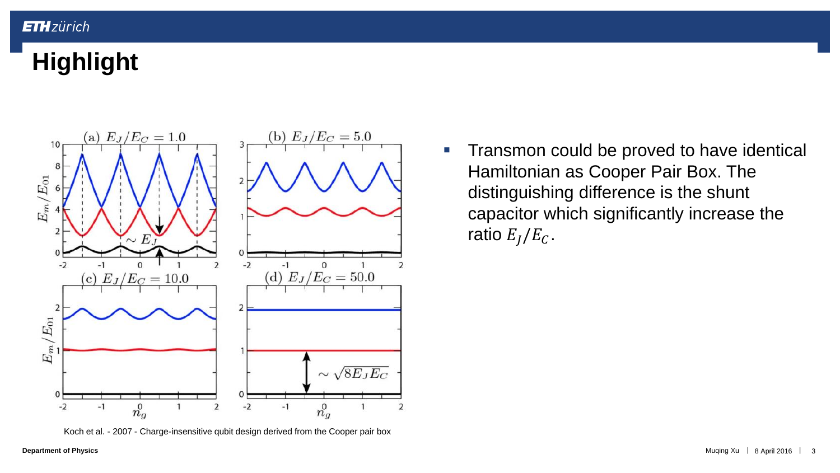# **Highlight**



Koch et al. - 2007 - Charge-insensitive qubit design derived from the Cooper pair box

**Transmon could be proved to have identical** Hamiltonian as Cooper Pair Box. The distinguishing difference is the shunt capacitor which significantly increase the ratio  $E_I/E_C$ .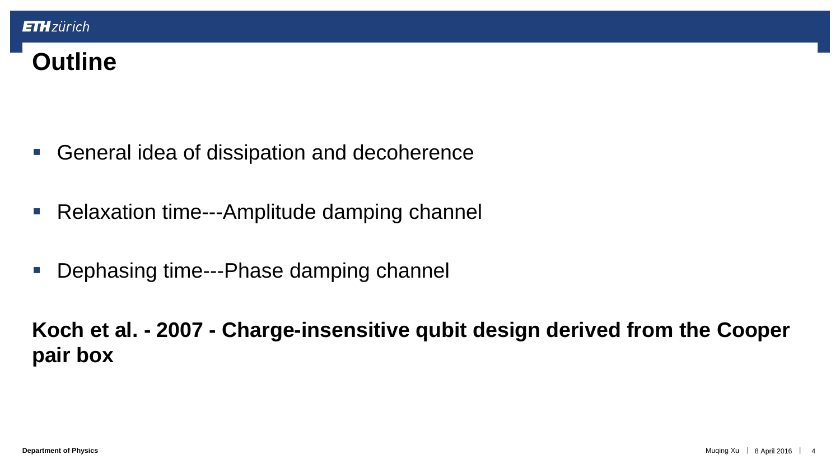## **Outline**

- General idea of dissipation and decoherence
- Relaxation time---Amplitude damping channel
- **Dephasing time---Phase damping channel**

**Koch et al. - 2007 - Charge-insensitive qubit design derived from the Cooper pair box**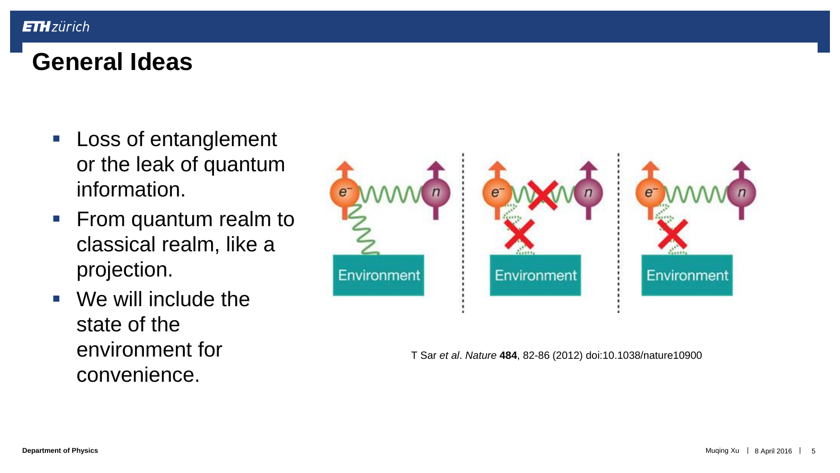#### **General Ideas**

- **Loss of entanglement** or the leak of quantum information.
- From quantum realm to classical realm, like a projection.
- We will include the state of the environment for convenience.



T Sar *et al*. *Nature* **484**, 82-86 (2012) doi:10.1038/nature10900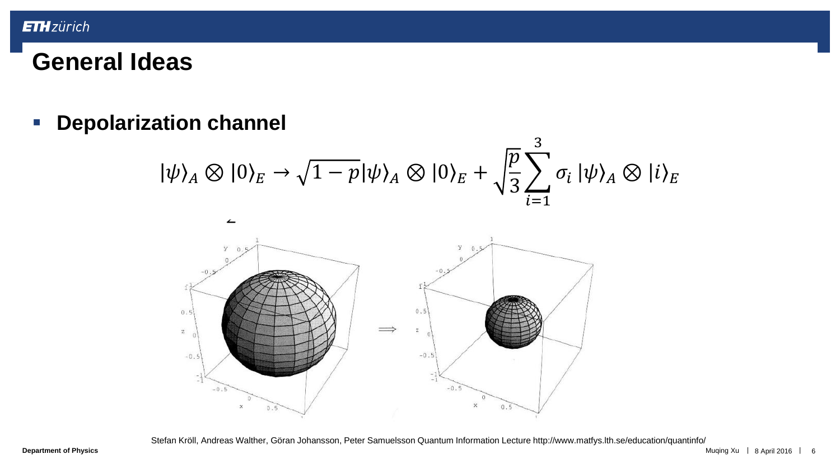**Depolarization channel**

$$
|\psi\rangle_A \otimes |0\rangle_E \rightarrow \sqrt{1-p}|\psi\rangle_A \otimes |0\rangle_E + \sqrt{\frac{p}{3}} \sum_{i=1}^3 \sigma_i |\psi\rangle_A \otimes |i\rangle_E
$$



Stefan Kröll, Andreas Walther, Göran Johansson, Peter Samuelsson Quantum Information Lecture http://www.matfys.lth.se/education/quantinfo/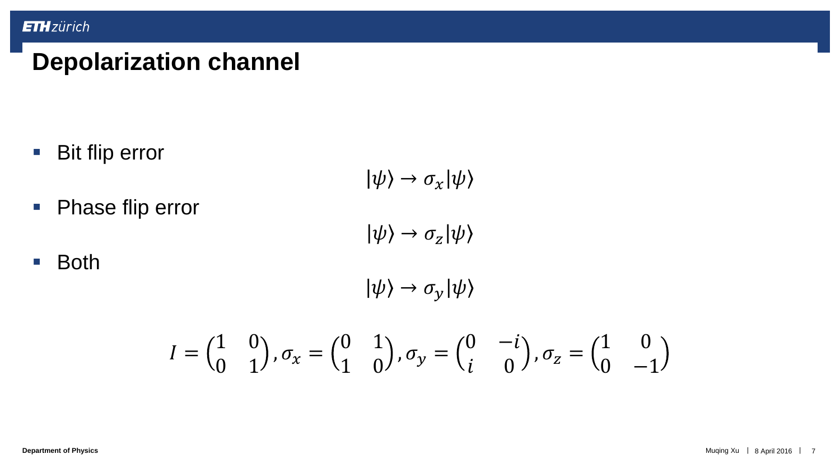## **Depolarization channel**

■ Bit flip error

 $|\psi\rangle \rightarrow \sigma_x |\psi\rangle$ 

**Phase flip error** 

 $|\psi\rangle \rightarrow \sigma_z |\psi\rangle$ 

■ Both

 $|\psi\rangle \rightarrow \sigma_y |\psi\rangle$ 

$$
I = \begin{pmatrix} 1 & 0 \\ 0 & 1 \end{pmatrix}, \sigma_x = \begin{pmatrix} 0 & 1 \\ 1 & 0 \end{pmatrix}, \sigma_y = \begin{pmatrix} 0 & -i \\ i & 0 \end{pmatrix}, \sigma_z = \begin{pmatrix} 1 & 0 \\ 0 & -1 \end{pmatrix}
$$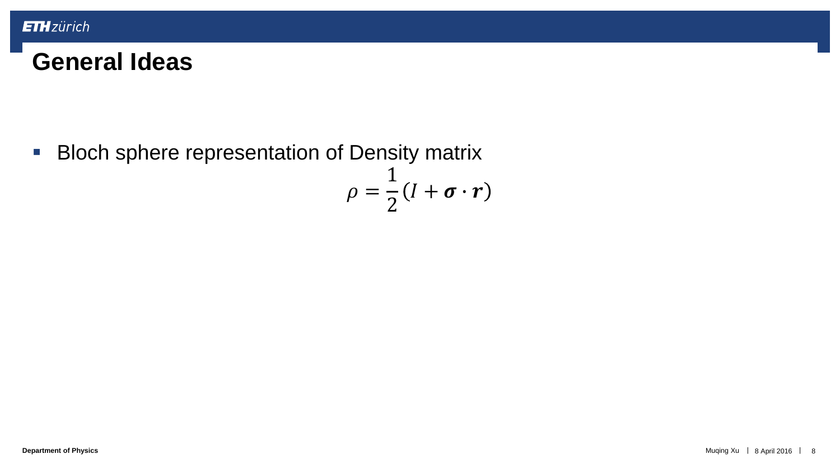**Bloch sphere representation of Density matrix** 

$$
\rho = \frac{1}{2}(I + \boldsymbol{\sigma} \cdot \boldsymbol{r})
$$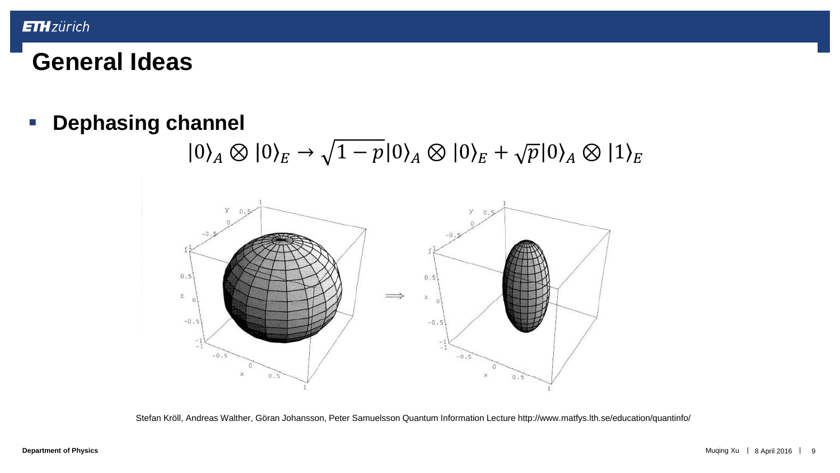**Dephasing channel**

 $|0\rangle_A \otimes |0\rangle_E \rightarrow \sqrt{1-p}|0\rangle_A \otimes |0\rangle_E + \sqrt{p}|0\rangle_A \otimes |1\rangle_E$ 



Stefan Kröll, Andreas Walther, Göran Johansson, Peter Samuelsson Quantum Information Lecture http://www.matfys.lth.se/education/quantinfo/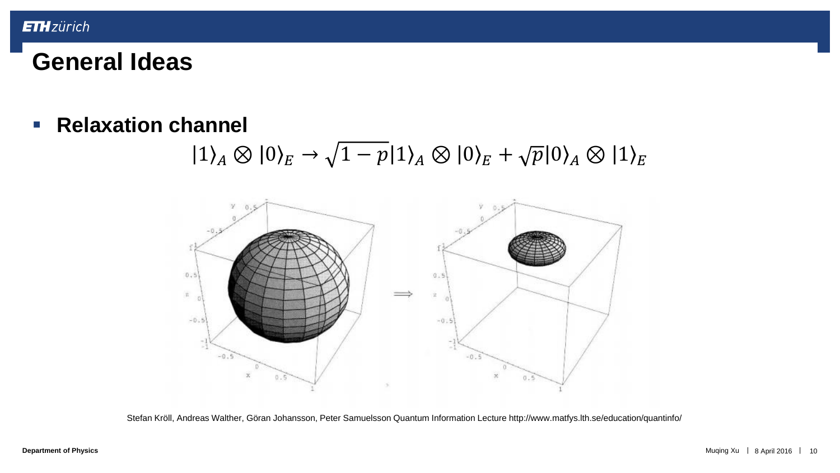**Relaxation channel** 

 $|1\rangle_A \otimes |0\rangle_E \rightarrow \sqrt{1-p}|1\rangle_A \otimes |0\rangle_E + \sqrt{p}|0\rangle_A \otimes |1\rangle_E$ 



Stefan Kröll, Andreas Walther, Göran Johansson, Peter Samuelsson Quantum Information Lecture http://www.matfys.lth.se/education/quantinfo/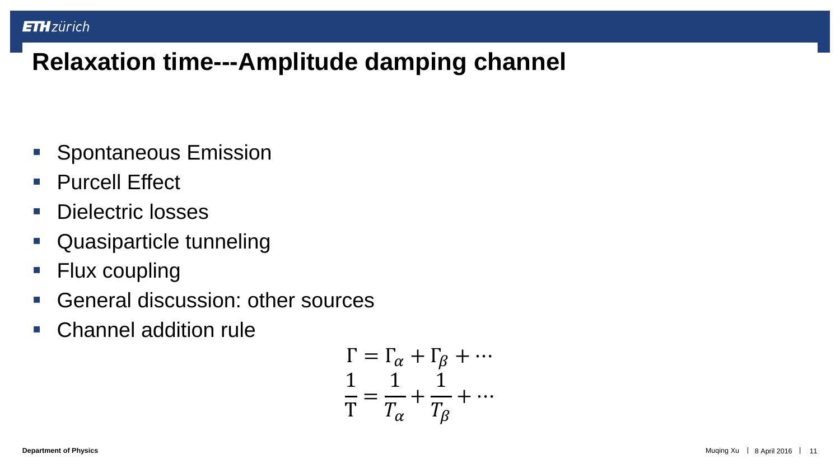- **Spontaneous Emission**
- **Purcell Effect**
- **Dielectric losses**
- Quasiparticle tunneling
- Flux coupling
- General discussion: other sources
- Channel addition rule

$$
\Gamma = \Gamma_{\alpha} + \Gamma_{\beta} + \cdots
$$

$$
\frac{1}{T} = \frac{1}{T_{\alpha}} + \frac{1}{T_{\beta}} + \cdots
$$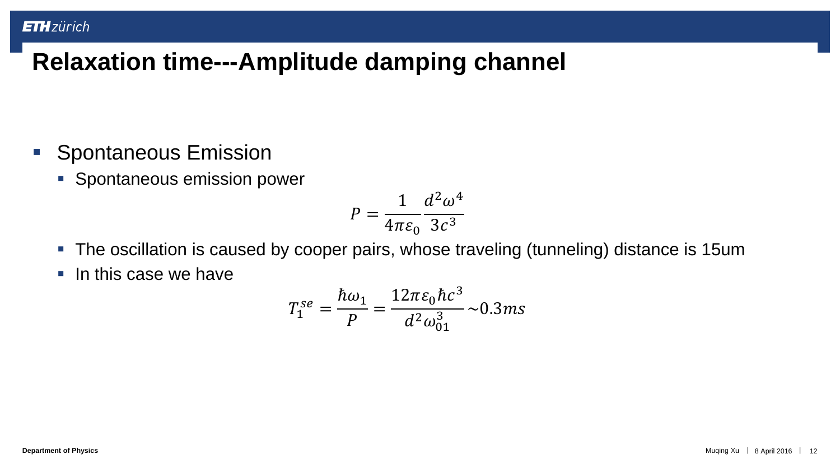- **Spontaneous Emission** 
	- **Spontaneous emission power**

$$
P = \frac{1}{4\pi\varepsilon_0} \frac{d^2 \omega^4}{3c^3}
$$

- The oscillation is caused by cooper pairs, whose traveling (tunneling) distance is 15um
- $\blacksquare$  In this case we have

$$
T_1^{se} = \frac{\hbar \omega_1}{P} = \frac{12\pi \varepsilon_0 \hbar c^3}{d^2 \omega_{01}^3} \sim 0.3ms
$$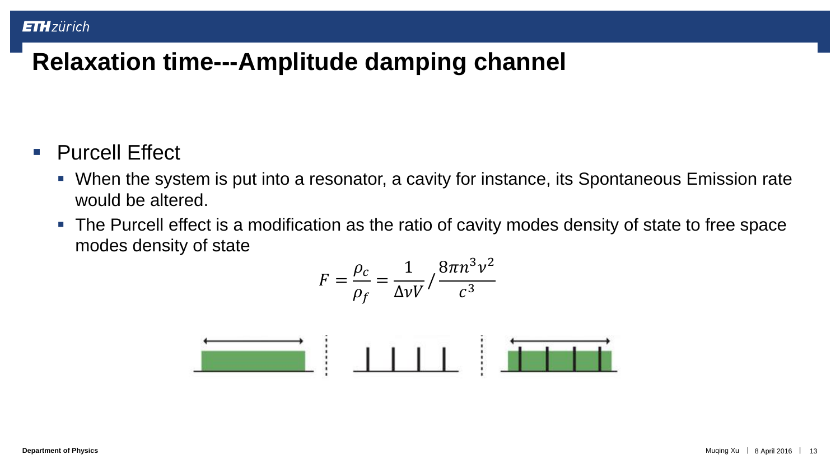#### ■ Purcell Effect

- When the system is put into a resonator, a cavity for instance, its Spontaneous Emission rate would be altered.
- The Purcell effect is a modification as the ratio of cavity modes density of state to free space modes density of state

$$
F = \frac{\rho_c}{\rho_f} = \frac{1}{\Delta \nu V} / \frac{8\pi n^3 v^2}{c^3}
$$

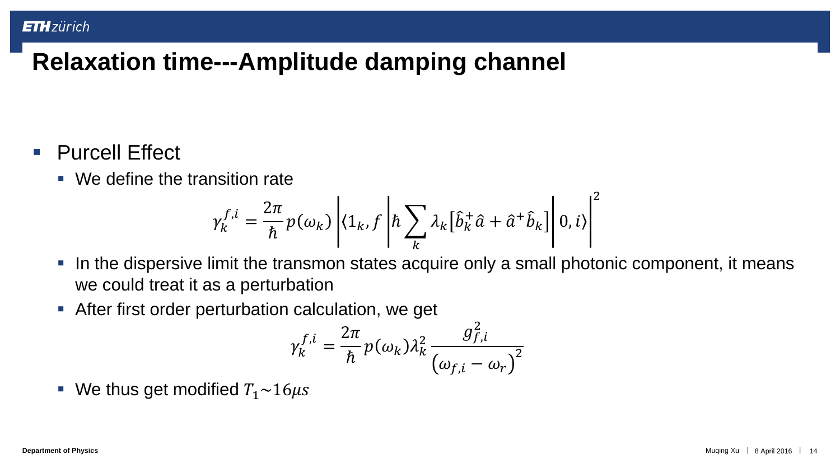- **Purcell Effect** 
	- We define the transition rate

$$
\gamma_k^{f,i} = \frac{2\pi}{\hbar} p(\omega_k) \left| \langle 1_k, f \left| \hbar \sum_k \lambda_k \left[ \hat{b}_k^+ \hat{a} + \hat{a}^+ \hat{b}_k \right] \right| 0, i \rangle \right|^2
$$

- In the dispersive limit the transmon states acquire only a small photonic component, it means we could treat it as a perturbation
- **-** After first order perturbation calculation, we get

$$
\gamma_k^{f,i} = \frac{2\pi}{\hbar} p(\omega_k) \lambda_k^2 \frac{g_{f,i}^2}{(\omega_{f,i} - \omega_r)^2}
$$

We thus get modified  $T_1 \sim 16 \mu s$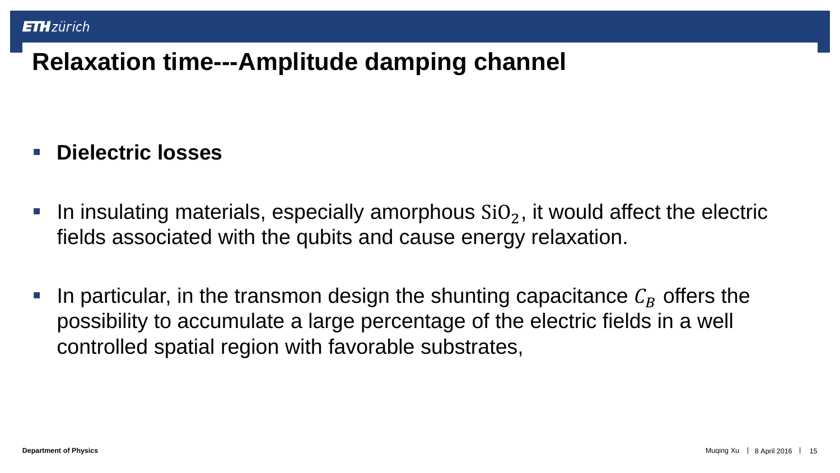#### **Dielectric losses**

- In insulating materials, especially amorphous  $SiO<sub>2</sub>$ , it would affect the electric fields associated with the qubits and cause energy relaxation.
- In particular, in the transmon design the shunting capacitance  $C_R$  offers the possibility to accumulate a large percentage of the electric fields in a well controlled spatial region with favorable substrates,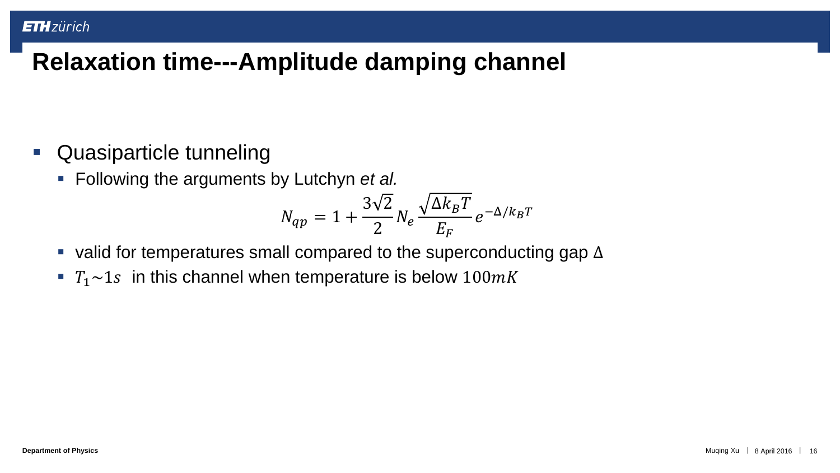- **Quasiparticle tunneling** 
	- Following the arguments by Lutchyn *et al.*

$$
N_{qp} = 1 + \frac{3\sqrt{2}}{2} N_e \frac{\sqrt{\Delta k_B T}}{E_F} e^{-\Delta/k_B T}
$$

- valid for temperatures small compared to the superconducting gap  $\Delta$
- $T_1 \sim 1$  in this channel when temperature is below  $100mK$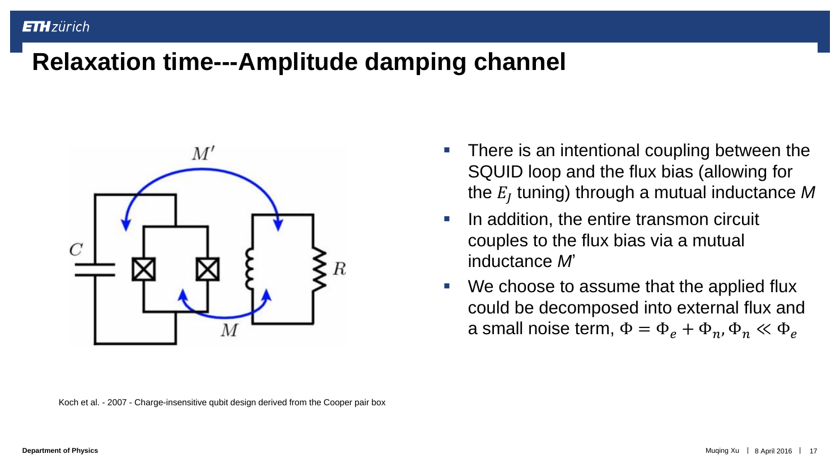

Koch et al. - 2007 - Charge-insensitive qubit design derived from the Cooper pair box

- There is an intentional coupling between the SQUID loop and the flux bias (allowing for the  $E_{J}$  tuning) through a mutual inductance  $M$
- **IF In addition, the entire transmon circuit** couples to the flux bias via a mutual inductance *M*'
- We choose to assume that the applied flux could be decomposed into external flux and a small noise term,  $\Phi = \Phi_e + \Phi_n$ ,  $\Phi_n \ll \Phi_e$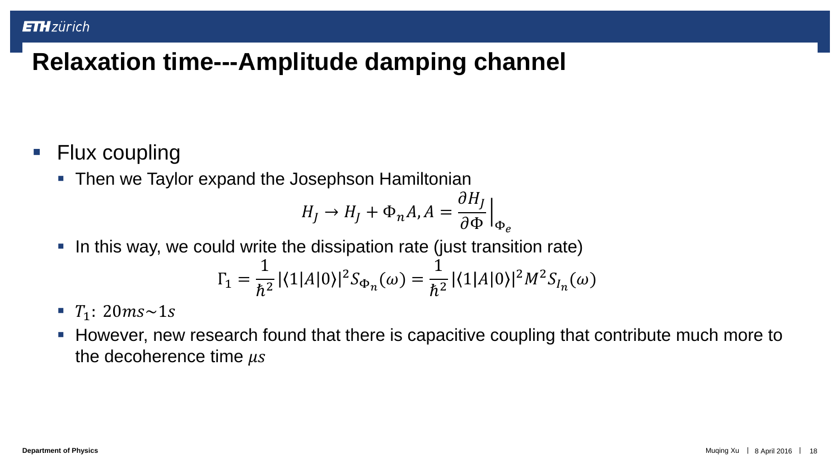- Flux coupling
	- Then we Taylor expand the Josephson Hamiltonian

$$
H_J \to H_J + \Phi_n A, A = \frac{\partial H_J}{\partial \Phi}\Big|_{\Phi_e}
$$

In this way, we could write the dissipation rate (just transition rate)

$$
\Gamma_1 = \frac{1}{\hbar^2} |\langle 1|A|0\rangle|^2 S_{\Phi_n}(\omega) = \frac{1}{\hbar^2} |\langle 1|A|0\rangle|^2 M^2 S_{I_n}(\omega)
$$

- $T_1$ : 20 $ms{\sim}1s$
- However, new research found that there is capacitive coupling that contribute much more to the decoherence time  $\mu s$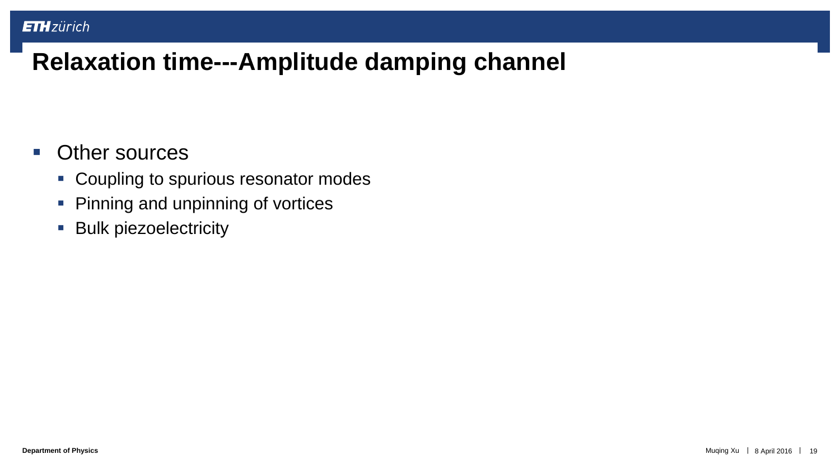#### **• Other sources**

- Coupling to spurious resonator modes
- **Pinning and unpinning of vortices**
- **Bulk piezoelectricity**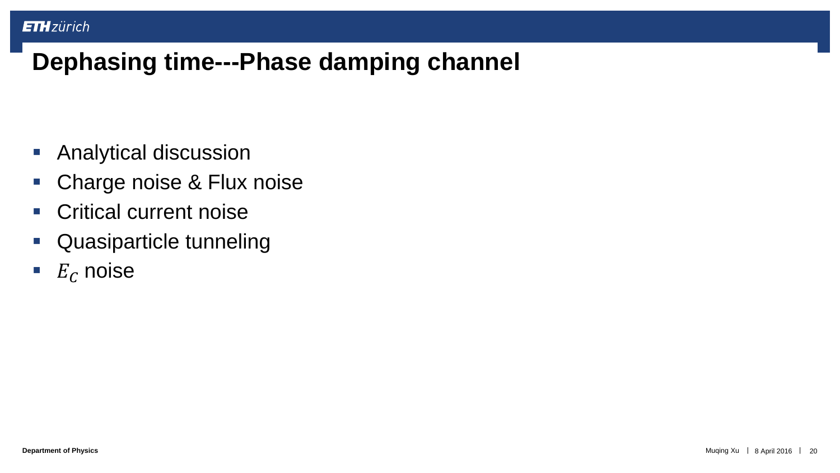- Analytical discussion
- Charge noise & Flux noise
- **Critical current noise**
- Quasiparticle tunneling
- $E_C$  noise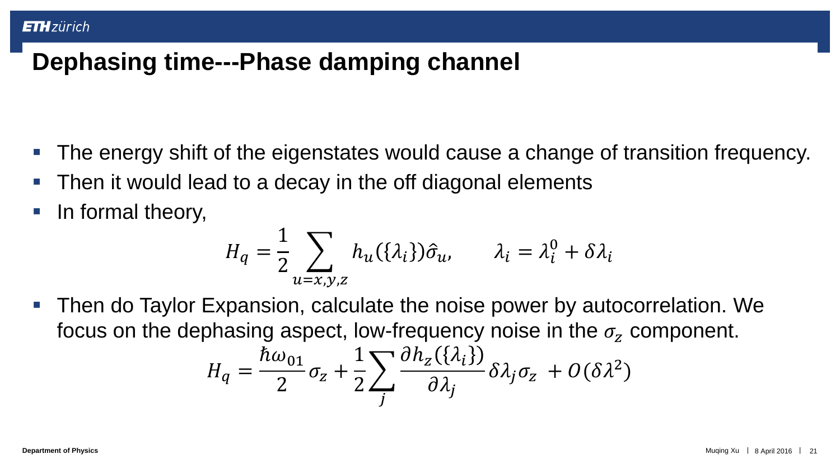- The energy shift of the eigenstates would cause a change of transition frequency.
- Then it would lead to a decay in the off diagonal elements
- In formal theory,

$$
H_q = \frac{1}{2} \sum_{u=x,y,z} h_u(\{\lambda_i\}) \hat{\sigma}_u, \qquad \lambda_i = \lambda_i^0 + \delta \lambda_i
$$

 Then do Taylor Expansion, calculate the noise power by autocorrelation. We focus on the dephasing aspect, low-frequency noise in the  $\sigma_{z}$  component.

$$
H_q = \frac{\hbar \omega_{01}}{2} \sigma_z + \frac{1}{2} \sum_j \frac{\partial h_z(\{\lambda_i\})}{\partial \lambda_j} \delta \lambda_j \sigma_z + O(\delta \lambda^2)
$$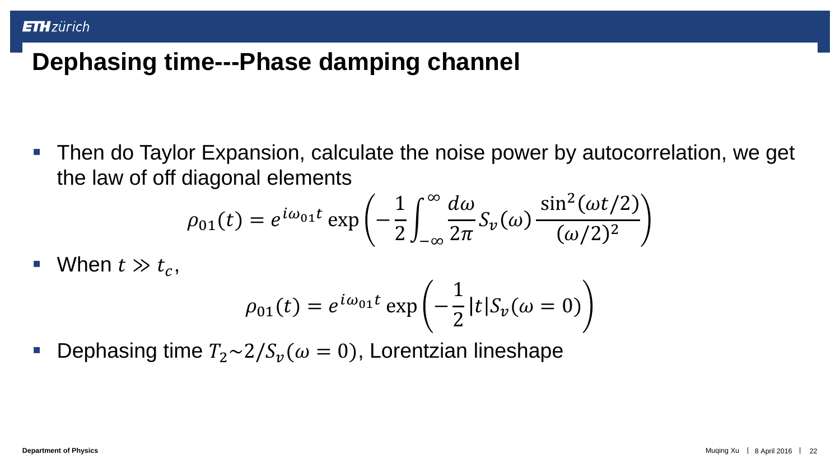Then do Taylor Expansion, calculate the noise power by autocorrelation, we get the law of off diagonal elements

$$
\rho_{01}(t) = e^{i\omega_{01}t} \exp\left(-\frac{1}{2} \int_{-\infty}^{\infty} \frac{d\omega}{2\pi} S_{\nu}(\omega) \frac{\sin^2(\omega t/2)}{(\omega/2)^2}\right)
$$

• When 
$$
t \gg t_c
$$
,

$$
\rho_{01}(t) = e^{i\omega_{01}t} \exp\left(-\frac{1}{2}|t|S_{\nu}(\omega=0)\right)
$$

Dephasing time  $T_2 \sim 2/S_v(\omega = 0)$ , Lorentzian lineshape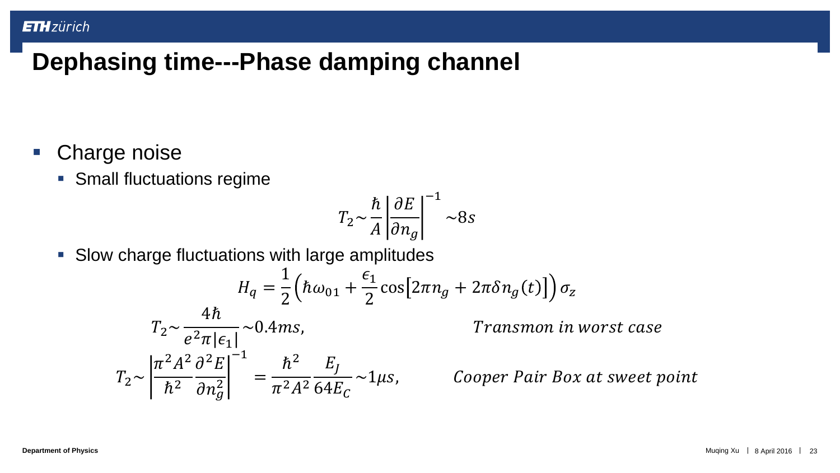- **Charge noise** 
	- **Small fluctuations regime**

$$
T_2 \sim \frac{\hbar}{A} \left| \frac{\partial E}{\partial n_g} \right|^{-1} \sim 8s
$$

Slow charge fluctuations with large amplitudes

$$
H_q = \frac{1}{2} \left( \hbar \omega_{01} + \frac{\epsilon_1}{2} \cos \left[ 2\pi n_g + 2\pi \delta n_g(t) \right] \right) \sigma_z
$$
  

$$
T_2 \sim \frac{4\hbar}{e^2 \pi |\epsilon_1|} \sim 0.4 \text{ms}, \qquad \qquad \text{Transmon in}
$$
  

$$
T_2 \sim \left| \frac{\pi^2 A^2}{\hbar^2} \frac{\partial^2 E}{\partial n_g^2} \right|^{-1} = \frac{\hbar^2}{\pi^2 A^2} \frac{E_J}{64E_C} \sim 1 \mu s, \qquad \text{Cooper Pair Bo:}
$$

worst case

x at sweet point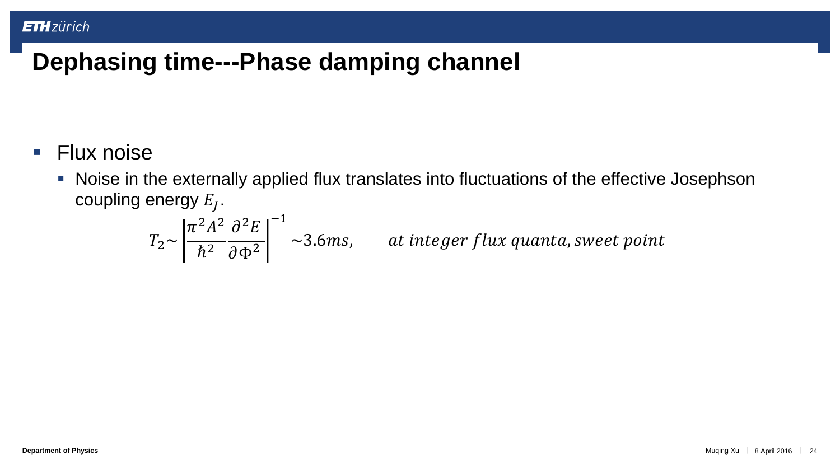- **Flux noise** 
	- Noise in the externally applied flux translates into fluctuations of the effective Josephson coupling energy  $E_{J}.$

$$
T_2 \sim \left| \frac{\pi^2 A^2}{\hbar^2} \frac{\partial^2 E}{\partial \Phi^2} \right|^{-1} \sim 3.6 \, \text{ms}, \qquad \text{at integer flux quanta, sweet point}
$$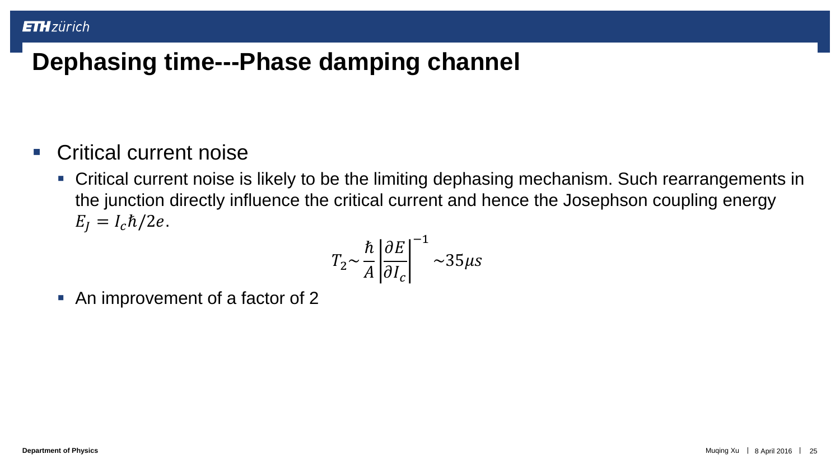- Critical current noise
	- Critical current noise is likely to be the limiting dephasing mechanism. Such rearrangements in the junction directly influence the critical current and hence the Josephson coupling energy  $E_I = I_c \hbar/2e$ .

$$
T_2 \sim \frac{\hbar}{A} \left| \frac{\partial E}{\partial I_c} \right|^{-1} \sim 35 \mu s
$$

• An improvement of a factor of 2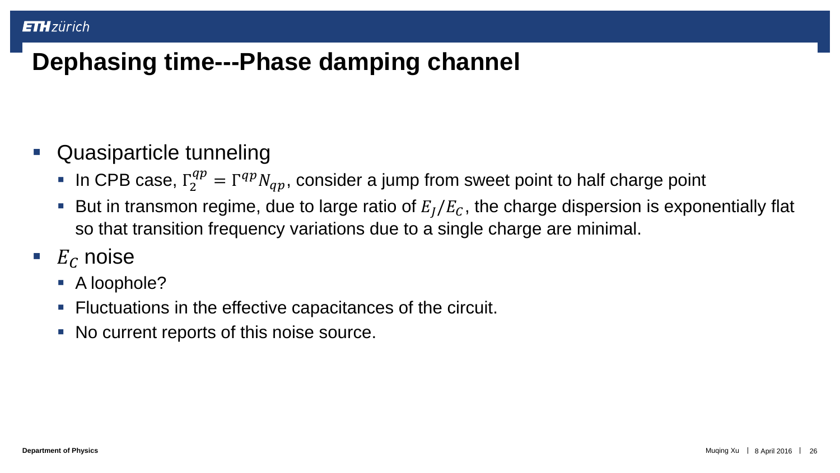- Quasiparticle tunneling
	- In CPB case,  $\Gamma_2^{qp} = \Gamma^{qp} N_{qp}$ , consider a jump from sweet point to half charge point
	- But in transmon regime, due to large ratio of  $E_I/E_C$ , the charge dispersion is exponentially flat so that transition frequency variations due to a single charge are minimal.
- $E_C$  noise
	- A loophole?
	- Fluctuations in the effective capacitances of the circuit.
	- No current reports of this noise source.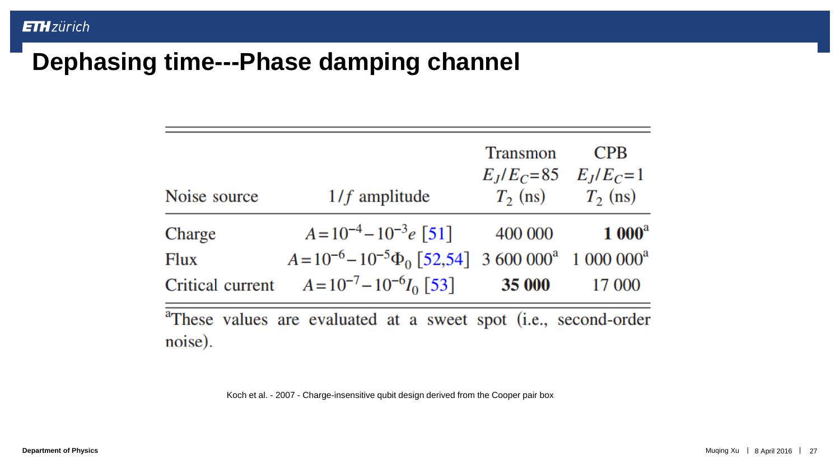|              |                                                                                 | <b>Transmon</b><br>$E_J/E_C = 85$ $E_J/E_C = 1$ | <b>CPB</b>            |
|--------------|---------------------------------------------------------------------------------|-------------------------------------------------|-----------------------|
| Noise source | $1/f$ amplitude                                                                 |                                                 | $T_2$ (ns) $T_2$ (ns) |
| Charge       | $A=10^{-4}-10^{-3}e$ [51]                                                       | 400 000                                         | $1000^a$              |
| Flux         | $A=10^{-6}-10^{-5}\Phi_0$ [52,54] 3 600 000 <sup>a</sup> 1 000 000 <sup>a</sup> |                                                 |                       |
|              | Critical current $A = 10^{-7} - 10^{-6} I_0$ [53]                               | <b>35 000</b>                                   | 17 000                |
| noise).      | <sup>a</sup> These values are evaluated at a sweet spot (i.e., second-order     |                                                 |                       |

Koch et al. - 2007 - Charge-insensitive qubit design derived from the Cooper pair box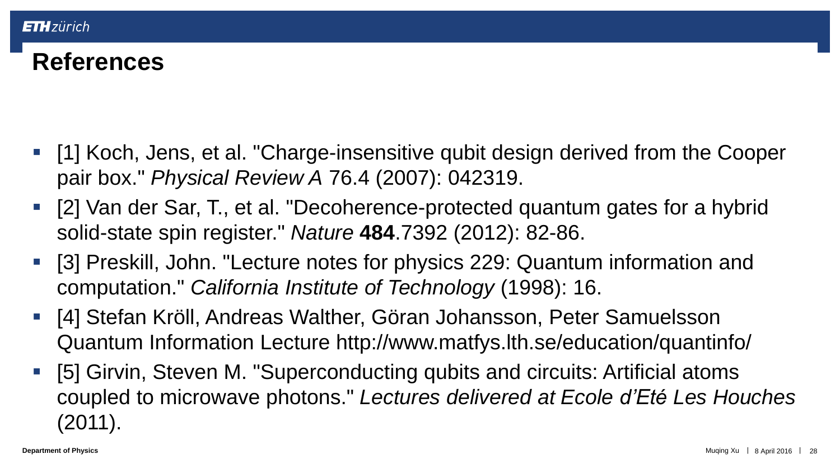## **References**

- [1] Koch, Jens, et al. "Charge-insensitive qubit design derived from the Cooper pair box." *Physical Review A* 76.4 (2007): 042319.
- [2] Van der Sar, T., et al. "Decoherence-protected quantum gates for a hybrid solid-state spin register." *Nature* **484**.7392 (2012): 82-86.
- [3] Preskill, John. "Lecture notes for physics 229: Quantum information and computation." *California Institute of Technology* (1998): 16.
- [4] Stefan Kröll, Andreas Walther, Göran Johansson, Peter Samuelsson Quantum Information Lecture http://www.matfys.lth.se/education/quantinfo/
- [5] Girvin, Steven M. "Superconducting qubits and circuits: Artificial atoms coupled to microwave photons." *Lectures delivered at Ecole d'Eté Les Houches* (2011).